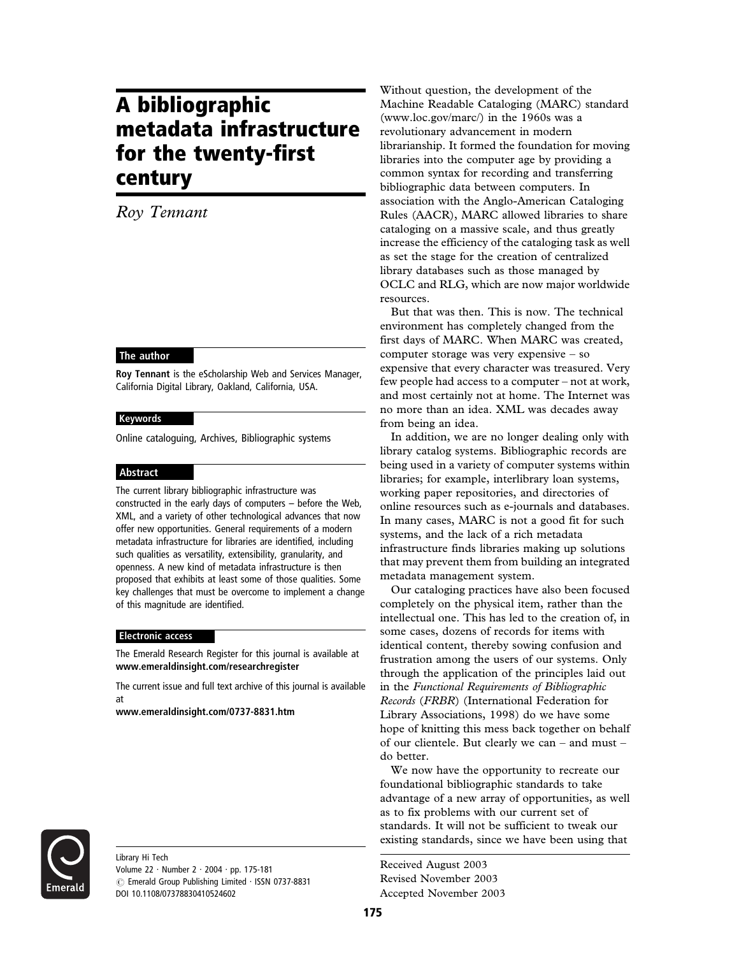# A bibliographic metadata infrastructure for the twenty-first century

Roy Tennant

### The author

Roy Tennant is the eScholarship Web and Services Manager, California Digital Library, Oakland, California, USA.

## **Keywords**

Online cataloguing, Archives, Bibliographic systems

## Abstract

The current library bibliographic infrastructure was constructed in the early days of computers - before the Web, XML, and a variety of other technological advances that now offer new opportunities. General requirements of a modern metadata infrastructure for libraries are identified, including such qualities as versatility, extensibility, granularity, and openness. A new kind of metadata infrastructure is then proposed that exhibits at least some of those qualities. Some key challenges that must be overcome to implement a change of this magnitude are identified.

#### **Electronic access**

The Emerald Research Register for this journal is available at www.emeraldinsight.com/researchregister

The current issue and full text archive of this journal is available at

www.emeraldinsight.com/0737-8831.htm

Library Hi Tech Volume 22 · Number 2 · 2004 · pp. 175-181 C Emerald Group Publishing Limited · ISSN 0737-8831 DOI 10.1108/07378830410524602

Without question, the development of the Machine Readable Cataloging (MARC) standard (www.loc.gov/marc/) in the 1960s was a revolutionary advancement in modern librarianship. It formed the foundation for moving libraries into the computer age by providing a common syntax for recording and transferring bibliographic data between computers. In association with the Anglo-American Cataloging Rules (AACR), MARC allowed libraries to share cataloging on a massive scale, and thus greatly increase the efficiency of the cataloging task as well as set the stage for the creation of centralized library databases such as those managed by OCLC and RLG, which are now major worldwide resources

But that was then. This is now. The technical environment has completely changed from the first days of MARC. When MARC was created, computer storage was very expensive  $-$  so expensive that every character was treasured. Very few people had access to a computer - not at work, and most certainly not at home. The Internet was no more than an idea. XML was decades away from being an idea.

In addition, we are no longer dealing only with library catalog systems. Bibliographic records are being used in a variety of computer systems within libraries; for example, interlibrary loan systems, working paper repositories, and directories of online resources such as e-journals and databases. In many cases, MARC is not a good fit for such systems, and the lack of a rich metadata infrastructure finds libraries making up solutions that may prevent them from building an integrated metadata management system.

Our cataloging practices have also been focused completely on the physical item, rather than the intellectual one. This has led to the creation of, in some cases, dozens of records for items with identical content, thereby sowing confusion and frustration among the users of our systems. Only through the application of the principles laid out in the Functional Requirements of Bibliographic Records (FRBR) (International Federation for Library Associations, 1998) do we have some hope of knitting this mess back together on behalf of our clientele. But clearly we can - and must do better.

We now have the opportunity to recreate our foundational bibliographic standards to take advantage of a new array of opportunities, as well as to fix problems with our current set of standards. It will not be sufficient to tweak our existing standards, since we have been using that

Received August 2003 Revised November 2003 Accepted November 2003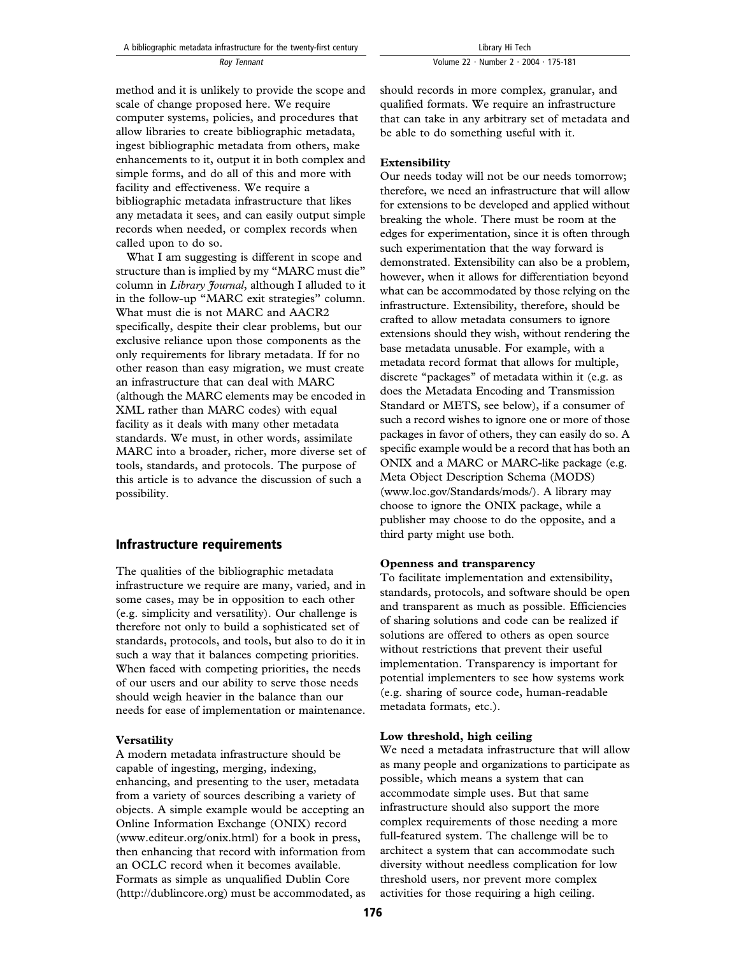method and it is unlikely to provide the scope and scale of change proposed here. We require computer systems, policies, and procedures that allow libraries to create bibliographic metadata, ingest bibliographic metadata from others, make enhancements to it, output it in both complex and simple forms, and do all of this and more with facility and effectiveness. We require a bibliographic metadata infrastructure that likes any metadata it sees, and can easily output simple records when needed, or complex records when called upon to do so.

What I am suggesting is different in scope and structure than is implied by my "MARC must die" column in Library Journal, although I alluded to it in the follow-up "MARC exit strategies" column. What must die is not MARC and AACR2 specifically, despite their clear problems, but our exclusive reliance upon those components as the only requirements for library metadata. If for no other reason than easy migration, we must create an infrastructure that can deal with MARC (although the MARC elements may be encoded in XML rather than MARC codes) with equal facility as it deals with many other metadata standards. We must, in other words, assimilate MARC into a broader, richer, more diverse set of tools, standards, and protocols. The purpose of this article is to advance the discussion of such a possibility.

## Infrastructure requirements

The qualities of the bibliographic metadata infrastructure we require are many, varied, and in some cases, may be in opposition to each other (e.g. simplicity and versatility). Our challenge is therefore not only to build a sophisticated set of standards, protocols, and tools, but also to do it in such a way that it balances competing priorities. When faced with competing priorities, the needs of our users and our ability to serve those needs should weigh heavier in the balance than our needs for ease of implementation or maintenance.

## **Versatility**

A modern metadata infrastructure should be capable of ingesting, merging, indexing, enhancing, and presenting to the user, metadata from a variety of sources describing a variety of objects. A simple example would be accepting an Online Information Exchange (ONIX) record (www.editeur.org/onix.html) for a book in press, then enhancing that record with information from an OCLC record when it becomes available. Formats as simple as unqualified Dublin Core (http://dublincore.org) must be accommodated, as should records in more complex, granular, and qualified formats. We require an infrastructure that can take in any arbitrary set of metadata and be able to do something useful with it.

## **Extensibility**

Our needs today will not be our needs tomorrow; therefore, we need an infrastructure that will allow for extensions to be developed and applied without breaking the whole. There must be room at the edges for experimentation, since it is often through such experimentation that the way forward is demonstrated. Extensibility can also be a problem, however, when it allows for differentiation beyond what can be accommodated by those relying on the infrastructure. Extensibility, therefore, should be crafted to allow metadata consumers to ignore extensions should they wish, without rendering the base metadata unusable. For example, with a metadata record format that allows for multiple, discrete "packages" of metadata within it (e.g. as does the Metadata Encoding and Transmission Standard or METS, see below), if a consumer of such a record wishes to ignore one or more of those packages in favor of others, they can easily do so. A specific example would be a record that has both an ONIX and a MARC or MARC-like package (e.g. Meta Object Description Schema (MODS) (www.loc.gov/Standards/mods/). A library may choose to ignore the ONIX package, while a publisher may choose to do the opposite, and a third party might use both.

## Openness and transparency

To facilitate implementation and extensibility, standards, protocols, and software should be open and transparent as much as possible. Efficiencies of sharing solutions and code can be realized if solutions are offered to others as open source without restrictions that prevent their useful implementation. Transparency is important for potential implementers to see how systems work (e.g. sharing of source code, human-readable metadata formats, etc.).

## Low threshold, high ceiling

We need a metadata infrastructure that will allow as many people and organizations to participate as possible, which means a system that can accommodate simple uses. But that same infrastructure should also support the more complex requirements of those needing a more full-featured system. The challenge will be to architect a system that can accommodate such diversity without needless complication for low threshold users, nor prevent more complex activities for those requiring a high ceiling.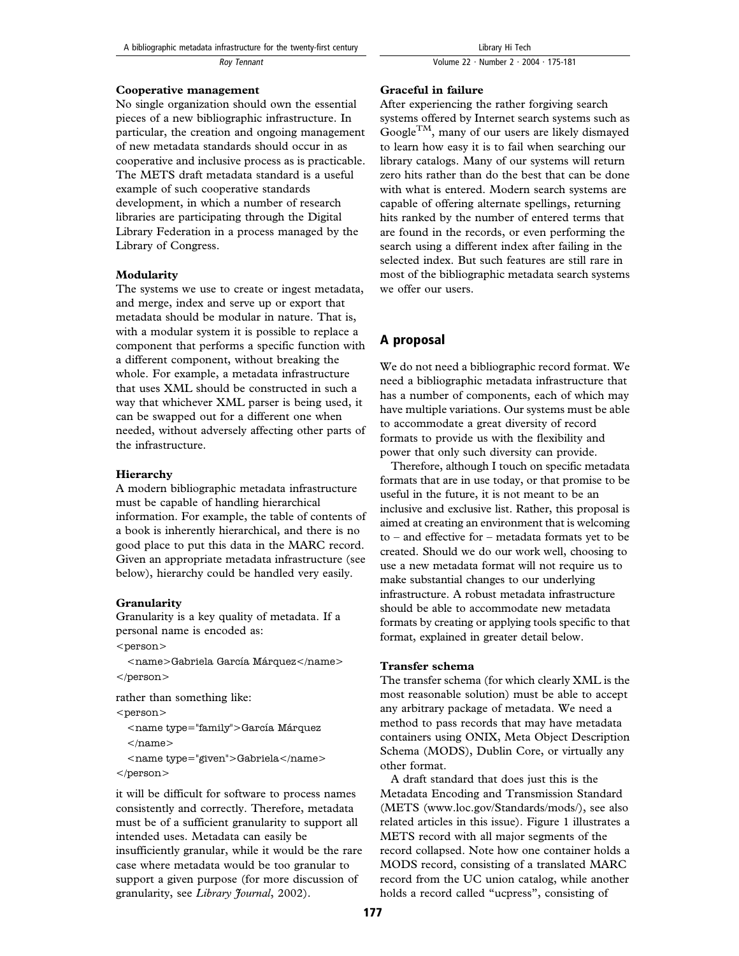Volume 22 · Number 2 · 2004 · 175-181

#### **Cooperative management**

No single organization should own the essential pieces of a new bibliographic infrastructure. In particular, the creation and ongoing management of new metadata standards should occur in as cooperative and inclusive process as is practicable. The METS draft metadata standard is a useful example of such cooperative standards development, in which a number of research libraries are participating through the Digital Library Federation in a process managed by the Library of Congress.

#### Modularity

The systems we use to create or ingest metadata, and merge, index and serve up or export that metadata should be modular in nature. That is, with a modular system it is possible to replace a component that performs a specific function with a different component, without breaking the whole. For example, a metadata infrastructure that uses XML should be constructed in such a way that whichever XML parser is being used, it can be swapped out for a different one when needed, without adversely affecting other parts of the infrastructure.

#### Hierarchy

A modern bibliographic metadata infrastructure must be capable of handling hierarchical information. For example, the table of contents of a book is inherently hierarchical, and there is no good place to put this data in the MARC record. Given an appropriate metadata infrastructure (see below), hierarchy could be handled very easily.

#### Granularity

Granularity is a key quality of metadata. If a personal name is encoded as:

<person>

<name>Gabriela García Márquez</name>  $<$ /person $>$ 

rather than something like:

 $<$ person $>$ 

<name type="family">García Márquez

 $<$ /name>

<name type="given">Gabriela</name>

 $<$ /person $>$ 

it will be difficult for software to process names consistently and correctly. Therefore, metadata must be of a sufficient granularity to support all intended uses. Metadata can easily be insufficiently granular, while it would be the rare case where metadata would be too granular to support a given purpose (for more discussion of granularity, see Library Journal, 2002).

## Graceful in failure

After experiencing the rather forgiving search systems offered by Internet search systems such as Google<sup>TM</sup>, many of our users are likely dismayed to learn how easy it is to fail when searching our library catalogs. Many of our systems will return zero hits rather than do the best that can be done with what is entered. Modern search systems are capable of offering alternate spellings, returning hits ranked by the number of entered terms that are found in the records, or even performing the search using a different index after failing in the selected index. But such features are still rare in most of the bibliographic metadata search systems we offer our users.

## A proposal

We do not need a bibliographic record format. We need a bibliographic metadata infrastructure that has a number of components, each of which may have multiple variations. Our systems must be able to accommodate a great diversity of record formats to provide us with the flexibility and power that only such diversity can provide.

Therefore, although I touch on specific metadata formats that are in use today, or that promise to be useful in the future, it is not meant to be an inclusive and exclusive list. Rather, this proposal is aimed at creating an environment that is welcoming  $to$  – and effective for – metadata formats yet to be created. Should we do our work well, choosing to use a new metadata format will not require us to make substantial changes to our underlying infrastructure. A robust metadata infrastructure should be able to accommodate new metadata formats by creating or applying tools specific to that format, explained in greater detail below.

#### **Transfer schema**

The transfer schema (for which clearly XML is the most reasonable solution) must be able to accept any arbitrary package of metadata. We need a method to pass records that may have metadata containers using ONIX, Meta Object Description Schema (MODS), Dublin Core, or virtually any other format.

A draft standard that does just this is the Metadata Encoding and Transmission Standard (METS (www.loc.gov/Standards/mods/), see also related articles in this issue). Figure 1 illustrates a METS record with all major segments of the record collapsed. Note how one container holds a MODS record, consisting of a translated MARC record from the UC union catalog, while another holds a record called "ucpress", consisting of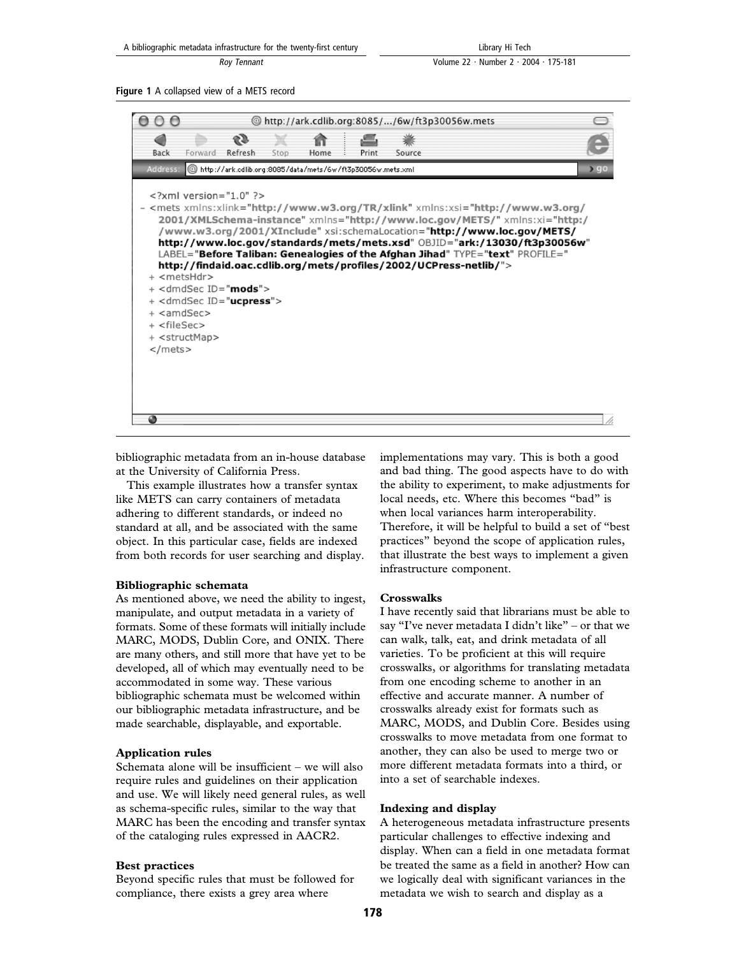Volume 22 · Number 2 · 2004 · 175-181





bibliographic metadata from an in-house database at the University of California Press.

This example illustrates how a transfer syntax like METS can carry containers of metadata adhering to different standards, or indeed no standard at all, and be associated with the same object. In this particular case, fields are indexed from both records for user searching and display.

#### Bibliographic schemata

As mentioned above, we need the ability to ingest, manipulate, and output metadata in a variety of formats. Some of these formats will initially include MARC, MODS, Dublin Core, and ONIX. There are many others, and still more that have yet to be developed, all of which may eventually need to be accommodated in some way. These various bibliographic schemata must be welcomed within our bibliographic metadata infrastructure, and be made searchable, displayable, and exportable.

#### **Application rules**

Schemata alone will be insufficient - we will also require rules and guidelines on their application and use. We will likely need general rules, as well as schema-specific rules, similar to the way that MARC has been the encoding and transfer syntax of the cataloging rules expressed in AACR2.

#### **Best practices**

Beyond specific rules that must be followed for compliance, there exists a grey area where

implementations may vary. This is both a good and bad thing. The good aspects have to do with the ability to experiment, to make adjustments for local needs, etc. Where this becomes "bad" is when local variances harm interoperability. Therefore, it will be helpful to build a set of "best practices" beyond the scope of application rules, that illustrate the best ways to implement a given infrastructure component.

#### **Crosswalks**

I have recently said that librarians must be able to say "I've never metadata I didn't like" - or that we can walk, talk, eat, and drink metadata of all varieties. To be proficient at this will require crosswalks, or algorithms for translating metadata from one encoding scheme to another in an effective and accurate manner. A number of crosswalks already exist for formats such as MARC, MODS, and Dublin Core. Besides using crosswalks to move metadata from one format to another, they can also be used to merge two or more different metadata formats into a third, or into a set of searchable indexes.

#### Indexing and display

A heterogeneous metadata infrastructure presents particular challenges to effective indexing and display. When can a field in one metadata format be treated the same as a field in another? How can we logically deal with significant variances in the metadata we wish to search and display as a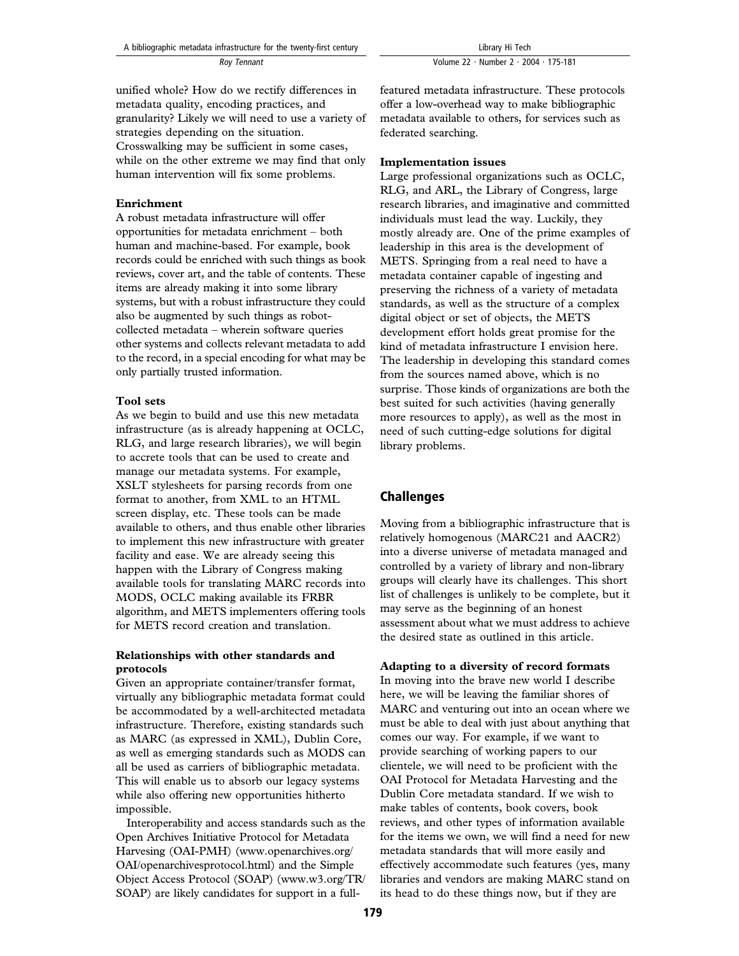Volume 22 · Number 2 · 2004 · 175-181

unified whole? How do we rectify differences in metadata quality, encoding practices, and granularity? Likely we will need to use a variety of strategies depending on the situation. Crosswalking may be sufficient in some cases, while on the other extreme we may find that only human intervention will fix some problems.

#### Enrichment

A robust metadata infrastructure will offer opportunities for metadata enrichment - both human and machine-based. For example, book records could be enriched with such things as book reviews, cover art, and the table of contents. These items are already making it into some library systems, but with a robust infrastructure they could also be augmented by such things as robotcollected metadata - wherein software queries other systems and collects relevant metadata to add to the record, in a special encoding for what may be only partially trusted information.

#### **Tool** sets

As we begin to build and use this new metadata infrastructure (as is already happening at OCLC, RLG, and large research libraries), we will begin to accrete tools that can be used to create and manage our metadata systems. For example, XSLT stylesheets for parsing records from one format to another, from XML to an HTML screen display, etc. These tools can be made available to others, and thus enable other libraries to implement this new infrastructure with greater facility and ease. We are already seeing this happen with the Library of Congress making available tools for translating MARC records into MODS, OCLC making available its FRBR algorithm, and METS implementers offering tools for METS record creation and translation.

## Relationships with other standards and protocols

Given an appropriate container/transfer format, virtually any bibliographic metadata format could be accommodated by a well-architected metadata infrastructure. Therefore, existing standards such as MARC (as expressed in XML), Dublin Core, as well as emerging standards such as MODS can all be used as carriers of bibliographic metadata. This will enable us to absorb our legacy systems while also offering new opportunities hitherto impossible.

Interoperability and access standards such as the Open Archives Initiative Protocol for Metadata Harvesing (OAI-PMH) (www.openarchives.org/ OAI/openarchivesprotocol.html) and the Simple Object Access Protocol (SOAP) (www.w3.org/TR/ SOAP) are likely candidates for support in a fullfeatured metadata infrastructure. These protocols offer a low-overhead way to make bibliographic metadata available to others, for services such as federated searching.

#### **Implementation issues**

Large professional organizations such as OCLC, RLG, and ARL, the Library of Congress, large research libraries, and imaginative and committed individuals must lead the way. Luckily, they mostly already are. One of the prime examples of leadership in this area is the development of METS. Springing from a real need to have a metadata container capable of ingesting and preserving the richness of a variety of metadata standards, as well as the structure of a complex digital object or set of objects, the METS development effort holds great promise for the kind of metadata infrastructure I envision here. The leadership in developing this standard comes from the sources named above, which is no surprise. Those kinds of organizations are both the best suited for such activities (having generally more resources to apply), as well as the most in need of such cutting-edge solutions for digital library problems.

## **Challenges**

Moving from a bibliographic infrastructure that is relatively homogenous (MARC21 and AACR2) into a diverse universe of metadata managed and controlled by a variety of library and non-library groups will clearly have its challenges. This short list of challenges is unlikely to be complete, but it may serve as the beginning of an honest assessment about what we must address to achieve the desired state as outlined in this article.

## Adapting to a diversity of record formats

In moving into the brave new world I describe here, we will be leaving the familiar shores of MARC and venturing out into an ocean where we must be able to deal with just about anything that comes our way. For example, if we want to provide searching of working papers to our clientele, we will need to be proficient with the OAI Protocol for Metadata Harvesting and the Dublin Core metadata standard. If we wish to make tables of contents, book covers, book reviews, and other types of information available for the items we own, we will find a need for new metadata standards that will more easily and effectively accommodate such features (yes, many libraries and vendors are making MARC stand on its head to do these things now, but if they are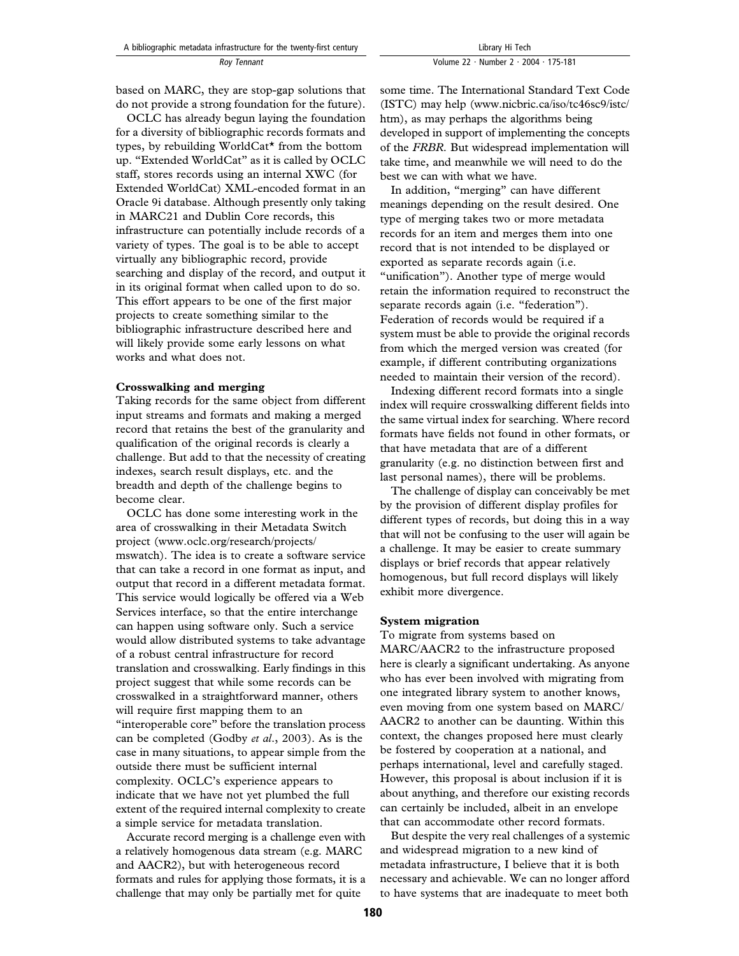based on MARC, they are stop-gap solutions that do not provide a strong foundation for the future).

OCLC has already begun laying the foundation for a diversity of bibliographic records formats and types, by rebuilding WorldCat<sup>\*</sup> from the bottom up. "Extended WorldCat" as it is called by OCLC staff, stores records using an internal XWC (for Extended WorldCat) XML-encoded format in an Oracle 9i database. Although presently only taking in MARC21 and Dublin Core records, this infrastructure can potentially include records of a variety of types. The goal is to be able to accept virtually any bibliographic record, provide searching and display of the record, and output it in its original format when called upon to do so. This effort appears to be one of the first major projects to create something similar to the bibliographic infrastructure described here and will likely provide some early lessons on what works and what does not.

#### **Crosswalking and merging**

Taking records for the same object from different input streams and formats and making a merged record that retains the best of the granularity and qualification of the original records is clearly a challenge. But add to that the necessity of creating indexes, search result displays, etc. and the breadth and depth of the challenge begins to become clear.

OCLC has done some interesting work in the area of crosswalking in their Metadata Switch project (www.oclc.org/research/projects/ mswatch). The idea is to create a software service that can take a record in one format as input, and output that record in a different metadata format. This service would logically be offered via a Web Services interface, so that the entire interchange can happen using software only. Such a service would allow distributed systems to take advantage of a robust central infrastructure for record translation and crosswalking. Early findings in this project suggest that while some records can be crosswalked in a straightforward manner, others will require first mapping them to an "interoperable core" before the translation process can be completed (Godby et al., 2003). As is the case in many situations, to appear simple from the outside there must be sufficient internal complexity. OCLC's experience appears to indicate that we have not yet plumbed the full extent of the required internal complexity to create a simple service for metadata translation.

Accurate record merging is a challenge even with a relatively homogenous data stream (e.g. MARC and AACR2), but with heterogeneous record formats and rules for applying those formats, it is a challenge that may only be partially met for quite

some time. The International Standard Text Code (ISTC) may help (www.nicbric.ca/iso/tc46sc9/istc/ htm), as may perhaps the algorithms being developed in support of implementing the concepts of the FRBR. But widespread implementation will take time, and meanwhile we will need to do the best we can with what we have.

In addition, "merging" can have different meanings depending on the result desired. One type of merging takes two or more metadata records for an item and merges them into one record that is not intended to be displayed or exported as separate records again (i.e. "unification"). Another type of merge would retain the information required to reconstruct the separate records again (i.e. "federation"). Federation of records would be required if a system must be able to provide the original records from which the merged version was created (for example, if different contributing organizations needed to maintain their version of the record).

Indexing different record formats into a single index will require crosswalking different fields into the same virtual index for searching. Where record formats have fields not found in other formats, or that have metadata that are of a different granularity (e.g. no distinction between first and last personal names), there will be problems.

The challenge of display can conceivably be met by the provision of different display profiles for different types of records, but doing this in a way that will not be confusing to the user will again be a challenge. It may be easier to create summary displays or brief records that appear relatively homogenous, but full record displays will likely exhibit more divergence.

#### **System migration**

To migrate from systems based on

MARC/AACR2 to the infrastructure proposed here is clearly a significant undertaking. As anyone who has ever been involved with migrating from one integrated library system to another knows, even moving from one system based on MARC/ AACR2 to another can be daunting. Within this context, the changes proposed here must clearly be fostered by cooperation at a national, and perhaps international, level and carefully staged. However, this proposal is about inclusion if it is about anything, and therefore our existing records can certainly be included, albeit in an envelope that can accommodate other record formats.

But despite the very real challenges of a systemic and widespread migration to a new kind of metadata infrastructure, I believe that it is both necessary and achievable. We can no longer afford to have systems that are inadequate to meet both